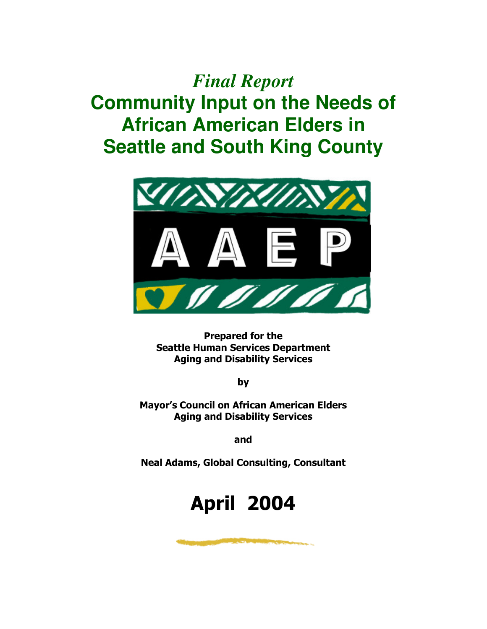# *Final Report* **Community Input on the Needs of African American Elders in Seattle and South King County**



Prepared for the Seattle Human Services Department Aging and Disability Services

by

Mayor's Council on African American Elders Aging and Disability Services

and

Neal Adams, Global Consulting, Consultant

# April 2004

and the state of the state of the state of the state of the state of the state of the state of the state of the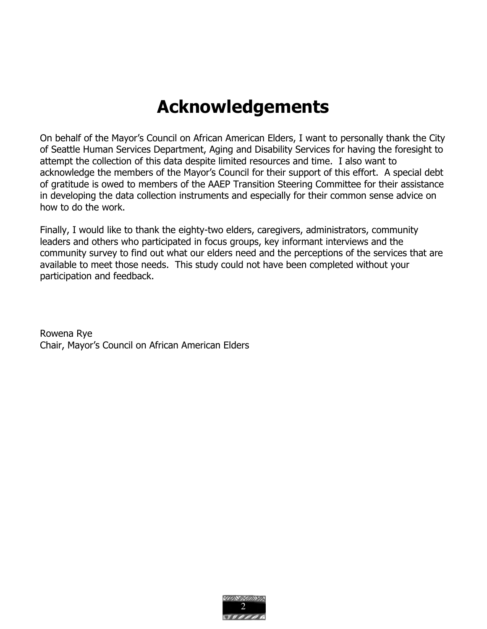# Acknowledgements

On behalf of the Mayor's Council on African American Elders, I want to personally thank the City of Seattle Human Services Department, Aging and Disability Services for having the foresight to attempt the collection of this data despite limited resources and time. I also want to acknowledge the members of the Mayor's Council for their support of this effort. A special debt of gratitude is owed to members of the AAEP Transition Steering Committee for their assistance in developing the data collection instruments and especially for their common sense advice on how to do the work.

Finally, I would like to thank the eighty-two elders, caregivers, administrators, community leaders and others who participated in focus groups, key informant interviews and the community survey to find out what our elders need and the perceptions of the services that are available to meet those needs. This study could not have been completed without your participation and feedback.

Rowena Rye Chair, Mayor's Council on African American Elders

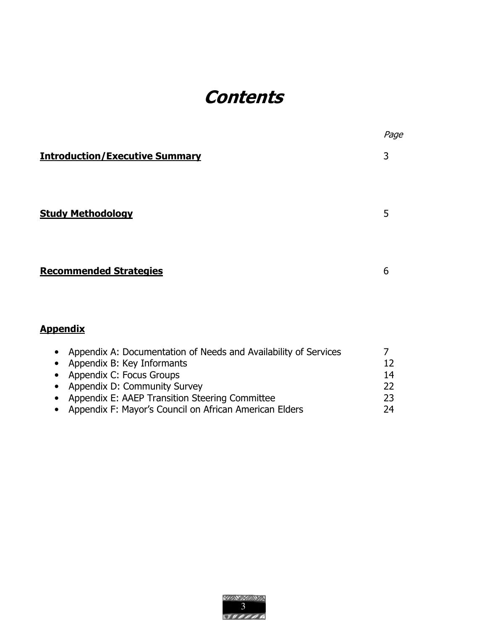# **Contents**

|                                                                                                                                                                                                                                                                       | Page                                         |
|-----------------------------------------------------------------------------------------------------------------------------------------------------------------------------------------------------------------------------------------------------------------------|----------------------------------------------|
| <b>Introduction/Executive Summary</b>                                                                                                                                                                                                                                 | 3                                            |
| <b>Study Methodology</b>                                                                                                                                                                                                                                              | 5                                            |
| <b>Recommended Strategies</b>                                                                                                                                                                                                                                         | 6                                            |
| <u>Appendix</u>                                                                                                                                                                                                                                                       |                                              |
| Appendix A: Documentation of Needs and Availability of Services<br>Appendix B: Key Informants<br>Appendix C: Focus Groups<br>Appendix D: Community Survey<br>Appendix E: AAEP Transition Steering Committee<br>Appendix F: Mayor's Council on African American Elders | $\overline{7}$<br>12<br>14<br>22<br>23<br>24 |

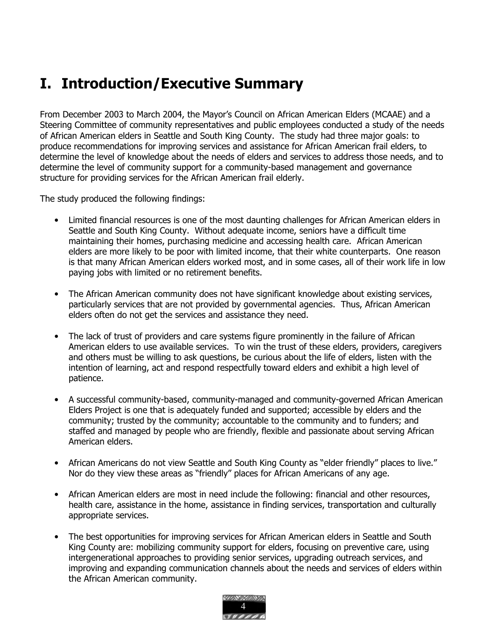# I. Introduction/Executive Summary

From December 2003 to March 2004, the Mayor's Council on African American Elders (MCAAE) and a Steering Committee of community representatives and public employees conducted a study of the needs of African American elders in Seattle and South King County. The study had three major goals: to produce recommendations for improving services and assistance for African American frail elders, to determine the level of knowledge about the needs of elders and services to address those needs, and to determine the level of community support for a community-based management and governance structure for providing services for the African American frail elderly.

The study produced the following findings:

- Limited financial resources is one of the most daunting challenges for African American elders in Seattle and South King County. Without adequate income, seniors have a difficult time maintaining their homes, purchasing medicine and accessing health care. African American elders are more likely to be poor with limited income, that their white counterparts. One reason is that many African American elders worked most, and in some cases, all of their work life in low paying jobs with limited or no retirement benefits.
- The African American community does not have significant knowledge about existing services, particularly services that are not provided by governmental agencies. Thus, African American elders often do not get the services and assistance they need.
- The lack of trust of providers and care systems figure prominently in the failure of African American elders to use available services. To win the trust of these elders, providers, caregivers and others must be willing to ask questions, be curious about the life of elders, listen with the intention of learning, act and respond respectfully toward elders and exhibit a high level of patience.
- A successful community-based, community-managed and community-governed African American Elders Project is one that is adequately funded and supported; accessible by elders and the community; trusted by the community; accountable to the community and to funders; and staffed and managed by people who are friendly, flexible and passionate about serving African American elders.
- African Americans do not view Seattle and South King County as "elder friendly" places to live." Nor do they view these areas as "friendly" places for African Americans of any age.
- African American elders are most in need include the following: financial and other resources, health care, assistance in the home, assistance in finding services, transportation and culturally appropriate services.
- The best opportunities for improving services for African American elders in Seattle and South King County are: mobilizing community support for elders, focusing on preventive care, using intergenerational approaches to providing senior services, upgrading outreach services, and improving and expanding communication channels about the needs and services of elders within the African American community.

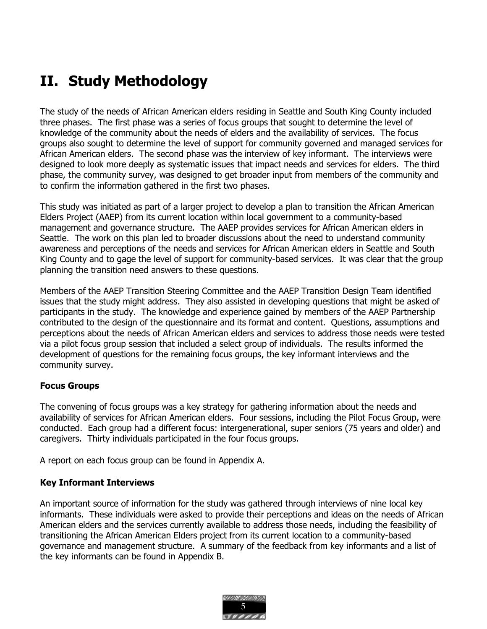# II. Study Methodology

The study of the needs of African American elders residing in Seattle and South King County included three phases. The first phase was a series of focus groups that sought to determine the level of knowledge of the community about the needs of elders and the availability of services. The focus groups also sought to determine the level of support for community governed and managed services for African American elders. The second phase was the interview of key informant. The interviews were designed to look more deeply as systematic issues that impact needs and services for elders. The third phase, the community survey, was designed to get broader input from members of the community and to confirm the information gathered in the first two phases.

This study was initiated as part of a larger project to develop a plan to transition the African American Elders Project (AAEP) from its current location within local government to a community-based management and governance structure. The AAEP provides services for African American elders in Seattle. The work on this plan led to broader discussions about the need to understand community awareness and perceptions of the needs and services for African American elders in Seattle and South King County and to gage the level of support for community-based services. It was clear that the group planning the transition need answers to these questions.

Members of the AAEP Transition Steering Committee and the AAEP Transition Design Team identified issues that the study might address. They also assisted in developing questions that might be asked of participants in the study. The knowledge and experience gained by members of the AAEP Partnership contributed to the design of the questionnaire and its format and content. Questions, assumptions and perceptions about the needs of African American elders and services to address those needs were tested via a pilot focus group session that included a select group of individuals. The results informed the development of questions for the remaining focus groups, the key informant interviews and the community survey.

# Focus Groups

The convening of focus groups was a key strategy for gathering information about the needs and availability of services for African American elders. Four sessions, including the Pilot Focus Group, were conducted. Each group had a different focus: intergenerational, super seniors (75 years and older) and caregivers. Thirty individuals participated in the four focus groups.

A report on each focus group can be found in Appendix A.

# Key Informant Interviews

An important source of information for the study was gathered through interviews of nine local key informants. These individuals were asked to provide their perceptions and ideas on the needs of African American elders and the services currently available to address those needs, including the feasibility of transitioning the African American Elders project from its current location to a community-based governance and management structure. A summary of the feedback from key informants and a list of the key informants can be found in Appendix B.

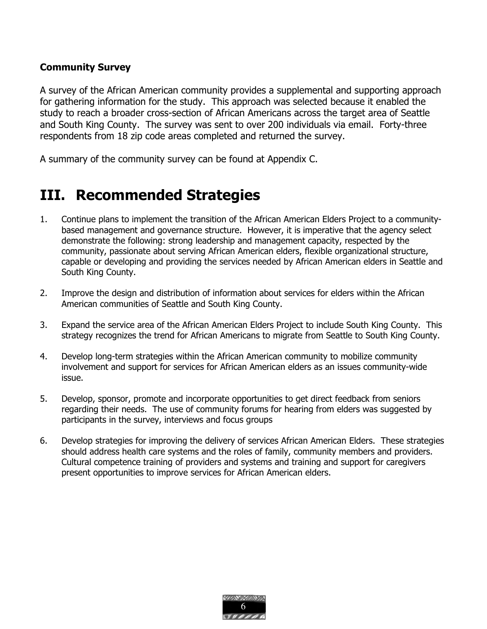# Community Survey

A survey of the African American community provides a supplemental and supporting approach for gathering information for the study. This approach was selected because it enabled the study to reach a broader cross-section of African Americans across the target area of Seattle and South King County. The survey was sent to over 200 individuals via email. Forty-three respondents from 18 zip code areas completed and returned the survey.

A summary of the community survey can be found at Appendix C.

# III. Recommended Strategies

- 1. Continue plans to implement the transition of the African American Elders Project to a communitybased management and governance structure. However, it is imperative that the agency select demonstrate the following: strong leadership and management capacity, respected by the community, passionate about serving African American elders, flexible organizational structure, capable or developing and providing the services needed by African American elders in Seattle and South King County.
- 2. Improve the design and distribution of information about services for elders within the African American communities of Seattle and South King County.
- 3. Expand the service area of the African American Elders Project to include South King County. This strategy recognizes the trend for African Americans to migrate from Seattle to South King County.
- 4. Develop long-term strategies within the African American community to mobilize community involvement and support for services for African American elders as an issues community-wide issue.
- 5. Develop, sponsor, promote and incorporate opportunities to get direct feedback from seniors regarding their needs. The use of community forums for hearing from elders was suggested by participants in the survey, interviews and focus groups
- 6. Develop strategies for improving the delivery of services African American Elders. These strategies should address health care systems and the roles of family, community members and providers. Cultural competence training of providers and systems and training and support for caregivers present opportunities to improve services for African American elders.

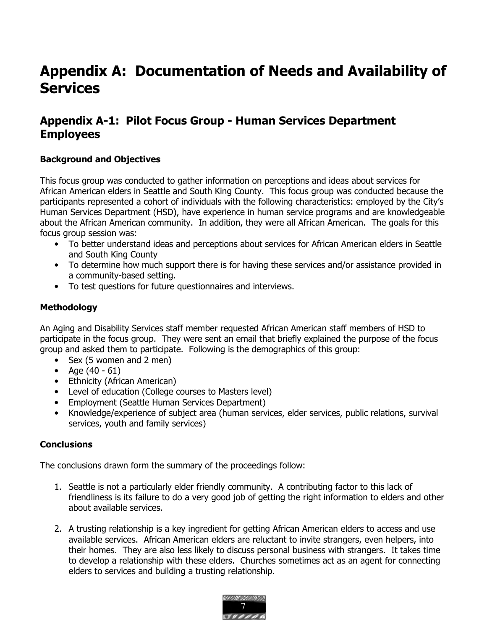# Appendix A: Documentation of Needs and Availability of **Services**

# Appendix A-1: Pilot Focus Group - Human Services Department Employees

# Background and Objectives

This focus group was conducted to gather information on perceptions and ideas about services for African American elders in Seattle and South King County. This focus group was conducted because the participants represented a cohort of individuals with the following characteristics: employed by the City's Human Services Department (HSD), have experience in human service programs and are knowledgeable about the African American community. In addition, they were all African American. The goals for this focus group session was:

- To better understand ideas and perceptions about services for African American elders in Seattle and South King County
- To determine how much support there is for having these services and/or assistance provided in a community-based setting.
- To test questions for future questionnaires and interviews.

# Methodology

An Aging and Disability Services staff member requested African American staff members of HSD to participate in the focus group. They were sent an email that briefly explained the purpose of the focus group and asked them to participate. Following is the demographics of this group:

- Sex (5 women and 2 men)
- Age  $(40 61)$
- Ethnicity (African American)
- Level of education (College courses to Masters level)
- Employment (Seattle Human Services Department)
- Knowledge/experience of subject area (human services, elder services, public relations, survival services, youth and family services)

# **Conclusions**

The conclusions drawn form the summary of the proceedings follow:

- 1. Seattle is not a particularly elder friendly community. A contributing factor to this lack of friendliness is its failure to do a very good job of getting the right information to elders and other about available services.
- 2. A trusting relationship is a key ingredient for getting African American elders to access and use available services. African American elders are reluctant to invite strangers, even helpers, into their homes. They are also less likely to discuss personal business with strangers. It takes time to develop a relationship with these elders. Churches sometimes act as an agent for connecting elders to services and building a trusting relationship.

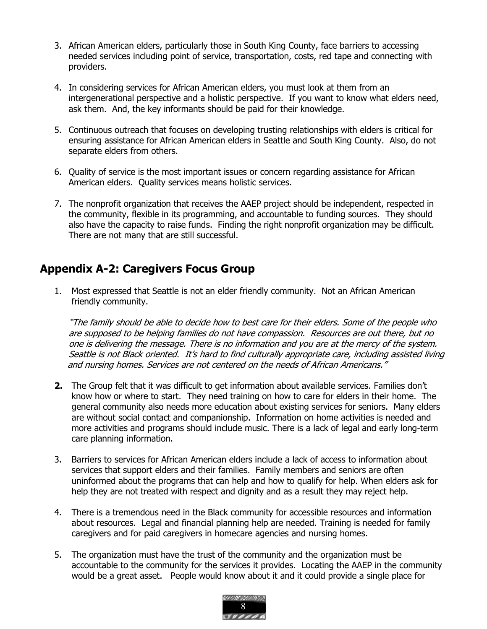- 3. African American elders, particularly those in South King County, face barriers to accessing needed services including point of service, transportation, costs, red tape and connecting with providers.
- 4. In considering services for African American elders, you must look at them from an intergenerational perspective and a holistic perspective. If you want to know what elders need, ask them. And, the key informants should be paid for their knowledge.
- 5. Continuous outreach that focuses on developing trusting relationships with elders is critical for ensuring assistance for African American elders in Seattle and South King County. Also, do not separate elders from others.
- 6. Quality of service is the most important issues or concern regarding assistance for African American elders. Quality services means holistic services.
- 7. The nonprofit organization that receives the AAEP project should be independent, respected in the community, flexible in its programming, and accountable to funding sources. They should also have the capacity to raise funds. Finding the right nonprofit organization may be difficult. There are not many that are still successful.

# Appendix A-2: Caregivers Focus Group

1. Most expressed that Seattle is not an elder friendly community. Not an African American friendly community.

"The family should be able to decide how to best care for their elders. Some of the people who are supposed to be helping families do not have compassion. Resources are out there, but no one is delivering the message. There is no information and you are at the mercy of the system. Seattle is not Black oriented. It's hard to find culturally appropriate care, including assisted living and nursing homes. Services are not centered on the needs of African Americans."

- 2. The Group felt that it was difficult to get information about available services. Families don't know how or where to start. They need training on how to care for elders in their home. The general community also needs more education about existing services for seniors. Many elders are without social contact and companionship. Information on home activities is needed and more activities and programs should include music. There is a lack of legal and early long-term care planning information.
- 3. Barriers to services for African American elders include a lack of access to information about services that support elders and their families. Family members and seniors are often uninformed about the programs that can help and how to qualify for help. When elders ask for help they are not treated with respect and dignity and as a result they may reject help.
- 4. There is a tremendous need in the Black community for accessible resources and information about resources. Legal and financial planning help are needed. Training is needed for family caregivers and for paid caregivers in homecare agencies and nursing homes.
- 5. The organization must have the trust of the community and the organization must be accountable to the community for the services it provides. Locating the AAEP in the community would be a great asset. People would know about it and it could provide a single place for

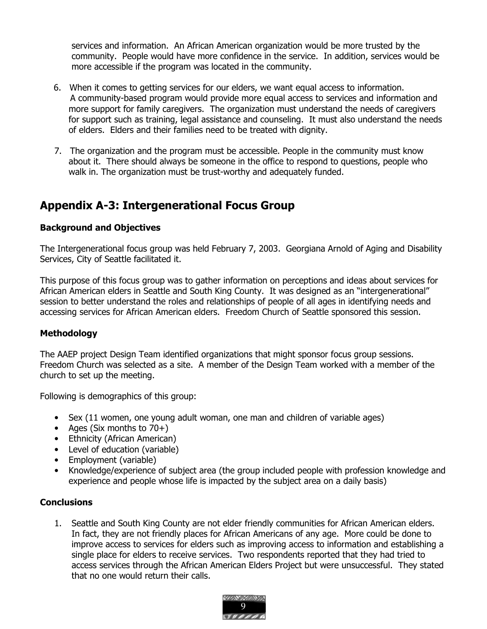services and information. An African American organization would be more trusted by the community. People would have more confidence in the service. In addition, services would be more accessible if the program was located in the community.

- 6. When it comes to getting services for our elders, we want equal access to information. A community-based program would provide more equal access to services and information and more support for family caregivers. The organization must understand the needs of caregivers for support such as training, legal assistance and counseling. It must also understand the needs of elders. Elders and their families need to be treated with dignity.
- 7. The organization and the program must be accessible. People in the community must know about it. There should always be someone in the office to respond to questions, people who walk in. The organization must be trust-worthy and adequately funded.

# Appendix A-3: Intergenerational Focus Group

# Background and Objectives

The Intergenerational focus group was held February 7, 2003. Georgiana Arnold of Aging and Disability Services, City of Seattle facilitated it.

This purpose of this focus group was to gather information on perceptions and ideas about services for African American elders in Seattle and South King County. It was designed as an "intergenerational" session to better understand the roles and relationships of people of all ages in identifying needs and accessing services for African American elders. Freedom Church of Seattle sponsored this session.

# Methodology

The AAEP project Design Team identified organizations that might sponsor focus group sessions. Freedom Church was selected as a site. A member of the Design Team worked with a member of the church to set up the meeting.

Following is demographics of this group:

- Sex (11 women, one young adult woman, one man and children of variable ages)
- Ages (Six months to 70+)
- Ethnicity (African American)
- Level of education (variable)
- Employment (variable)
- Knowledge/experience of subject area (the group included people with profession knowledge and experience and people whose life is impacted by the subject area on a daily basis)

# **Conclusions**

1. Seattle and South King County are not elder friendly communities for African American elders. In fact, they are not friendly places for African Americans of any age. More could be done to improve access to services for elders such as improving access to information and establishing a single place for elders to receive services. Two respondents reported that they had tried to access services through the African American Elders Project but were unsuccessful. They stated that no one would return their calls.

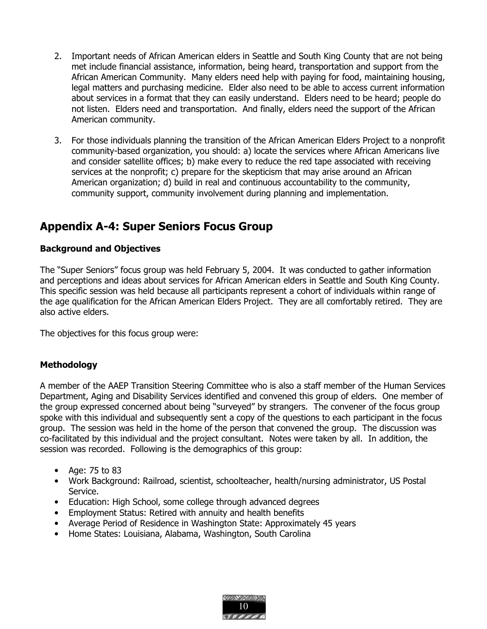- 2. Important needs of African American elders in Seattle and South King County that are not being met include financial assistance, information, being heard, transportation and support from the African American Community. Many elders need help with paying for food, maintaining housing, legal matters and purchasing medicine. Elder also need to be able to access current information about services in a format that they can easily understand. Elders need to be heard; people do not listen. Elders need and transportation. And finally, elders need the support of the African American community.
- 3. For those individuals planning the transition of the African American Elders Project to a nonprofit community-based organization, you should: a) locate the services where African Americans live and consider satellite offices; b) make every to reduce the red tape associated with receiving services at the nonprofit; c) prepare for the skepticism that may arise around an African American organization; d) build in real and continuous accountability to the community, community support, community involvement during planning and implementation.

# Appendix A-4: Super Seniors Focus Group

# Background and Objectives

The "Super Seniors" focus group was held February 5, 2004. It was conducted to gather information and perceptions and ideas about services for African American elders in Seattle and South King County. This specific session was held because all participants represent a cohort of individuals within range of the age qualification for the African American Elders Project. They are all comfortably retired. They are also active elders.

The objectives for this focus group were:

# **Methodology**

A member of the AAEP Transition Steering Committee who is also a staff member of the Human Services Department, Aging and Disability Services identified and convened this group of elders. One member of the group expressed concerned about being "surveyed" by strangers. The convener of the focus group spoke with this individual and subsequently sent a copy of the questions to each participant in the focus group. The session was held in the home of the person that convened the group. The discussion was co-facilitated by this individual and the project consultant. Notes were taken by all. In addition, the session was recorded. Following is the demographics of this group:

- Age: 75 to 83
- Work Background: Railroad, scientist, schoolteacher, health/nursing administrator, US Postal Service.
- Education: High School, some college through advanced degrees
- Employment Status: Retired with annuity and health benefits
- Average Period of Residence in Washington State: Approximately 45 years
- Home States: Louisiana, Alabama, Washington, South Carolina

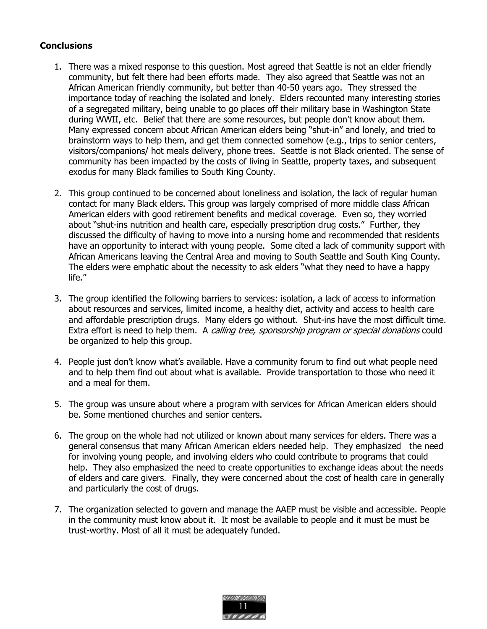# **Conclusions**

- 1. There was a mixed response to this question. Most agreed that Seattle is not an elder friendly community, but felt there had been efforts made. They also agreed that Seattle was not an African American friendly community, but better than 40-50 years ago. They stressed the importance today of reaching the isolated and lonely. Elders recounted many interesting stories of a segregated military, being unable to go places off their military base in Washington State during WWII, etc. Belief that there are some resources, but people don't know about them. Many expressed concern about African American elders being "shut-in" and lonely, and tried to brainstorm ways to help them, and get them connected somehow (e.g., trips to senior centers, visitors/companions/ hot meals delivery, phone trees. Seattle is not Black oriented. The sense of community has been impacted by the costs of living in Seattle, property taxes, and subsequent exodus for many Black families to South King County.
- 2. This group continued to be concerned about loneliness and isolation, the lack of regular human contact for many Black elders. This group was largely comprised of more middle class African American elders with good retirement benefits and medical coverage. Even so, they worried about "shut-ins nutrition and health care, especially prescription drug costs." Further, they discussed the difficulty of having to move into a nursing home and recommended that residents have an opportunity to interact with young people. Some cited a lack of community support with African Americans leaving the Central Area and moving to South Seattle and South King County. The elders were emphatic about the necessity to ask elders "what they need to have a happy life."
- 3. The group identified the following barriers to services: isolation, a lack of access to information about resources and services, limited income, a healthy diet, activity and access to health care and affordable prescription drugs. Many elders go without. Shut-ins have the most difficult time. Extra effort is need to help them. A calling tree, sponsorship program or special donations could be organized to help this group.
- 4. People just don't know what's available. Have a community forum to find out what people need and to help them find out about what is available. Provide transportation to those who need it and a meal for them.
- 5. The group was unsure about where a program with services for African American elders should be. Some mentioned churches and senior centers.
- 6. The group on the whole had not utilized or known about many services for elders. There was a general consensus that many African American elders needed help. They emphasized the need for involving young people, and involving elders who could contribute to programs that could help. They also emphasized the need to create opportunities to exchange ideas about the needs of elders and care givers. Finally, they were concerned about the cost of health care in generally and particularly the cost of drugs.
- 7. The organization selected to govern and manage the AAEP must be visible and accessible. People in the community must know about it. It most be available to people and it must be must be trust-worthy. Most of all it must be adequately funded.

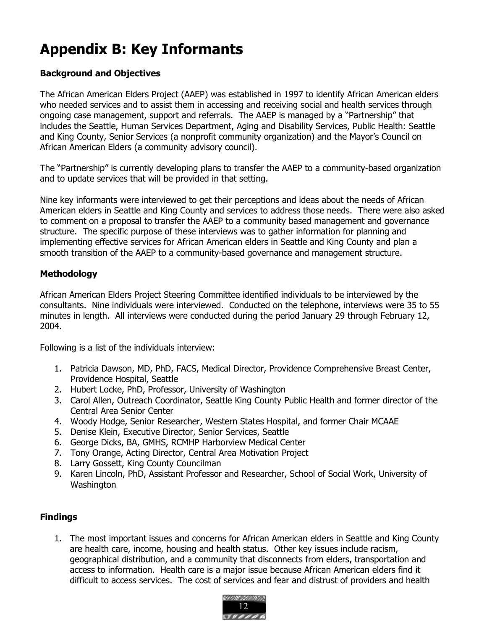# Appendix B: Key Informants

# Background and Objectives

The African American Elders Project (AAEP) was established in 1997 to identify African American elders who needed services and to assist them in accessing and receiving social and health services through ongoing case management, support and referrals. The AAEP is managed by a "Partnership" that includes the Seattle, Human Services Department, Aging and Disability Services, Public Health: Seattle and King County, Senior Services (a nonprofit community organization) and the Mayor's Council on African American Elders (a community advisory council).

The "Partnership" is currently developing plans to transfer the AAEP to a community-based organization and to update services that will be provided in that setting.

Nine key informants were interviewed to get their perceptions and ideas about the needs of African American elders in Seattle and King County and services to address those needs. There were also asked to comment on a proposal to transfer the AAEP to a community based management and governance structure. The specific purpose of these interviews was to gather information for planning and implementing effective services for African American elders in Seattle and King County and plan a smooth transition of the AAEP to a community-based governance and management structure.

# Methodology

African American Elders Project Steering Committee identified individuals to be interviewed by the consultants. Nine individuals were interviewed. Conducted on the telephone, interviews were 35 to 55 minutes in length. All interviews were conducted during the period January 29 through February 12, 2004.

Following is a list of the individuals interview:

- 1. Patricia Dawson, MD, PhD, FACS, Medical Director, Providence Comprehensive Breast Center, Providence Hospital, Seattle
- 2. Hubert Locke, PhD, Professor, University of Washington
- 3. Carol Allen, Outreach Coordinator, Seattle King County Public Health and former director of the Central Area Senior Center
- 4. Woody Hodge, Senior Researcher, Western States Hospital, and former Chair MCAAE
- 5. Denise Klein, Executive Director, Senior Services, Seattle
- 6. George Dicks, BA, GMHS, RCMHP Harborview Medical Center
- 7. Tony Orange, Acting Director, Central Area Motivation Project
- 8. Larry Gossett, King County Councilman
- 9. Karen Lincoln, PhD, Assistant Professor and Researcher, School of Social Work, University of **Washington**

# Findings

1. The most important issues and concerns for African American elders in Seattle and King County are health care, income, housing and health status. Other key issues include racism, geographical distribution, and a community that disconnects from elders, transportation and access to information. Health care is a major issue because African American elders find it difficult to access services. The cost of services and fear and distrust of providers and health

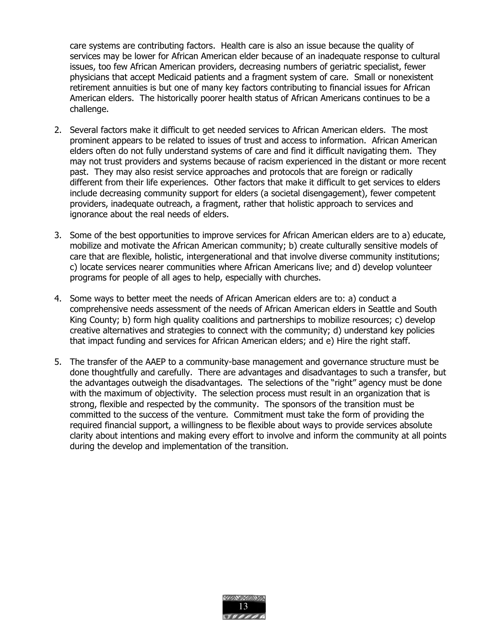care systems are contributing factors. Health care is also an issue because the quality of services may be lower for African American elder because of an inadequate response to cultural issues, too few African American providers, decreasing numbers of geriatric specialist, fewer physicians that accept Medicaid patients and a fragment system of care. Small or nonexistent retirement annuities is but one of many key factors contributing to financial issues for African American elders. The historically poorer health status of African Americans continues to be a challenge.

- 2. Several factors make it difficult to get needed services to African American elders. The most prominent appears to be related to issues of trust and access to information. African American elders often do not fully understand systems of care and find it difficult navigating them. They may not trust providers and systems because of racism experienced in the distant or more recent past. They may also resist service approaches and protocols that are foreign or radically different from their life experiences. Other factors that make it difficult to get services to elders include decreasing community support for elders (a societal disengagement), fewer competent providers, inadequate outreach, a fragment, rather that holistic approach to services and ignorance about the real needs of elders.
- 3. Some of the best opportunities to improve services for African American elders are to a) educate, mobilize and motivate the African American community; b) create culturally sensitive models of care that are flexible, holistic, intergenerational and that involve diverse community institutions; c) locate services nearer communities where African Americans live; and d) develop volunteer programs for people of all ages to help, especially with churches.
- 4. Some ways to better meet the needs of African American elders are to: a) conduct a comprehensive needs assessment of the needs of African American elders in Seattle and South King County; b) form high quality coalitions and partnerships to mobilize resources; c) develop creative alternatives and strategies to connect with the community; d) understand key policies that impact funding and services for African American elders; and e) Hire the right staff.
- 5. The transfer of the AAEP to a community-base management and governance structure must be done thoughtfully and carefully. There are advantages and disadvantages to such a transfer, but the advantages outweigh the disadvantages. The selections of the "right" agency must be done with the maximum of objectivity. The selection process must result in an organization that is strong, flexible and respected by the community. The sponsors of the transition must be committed to the success of the venture. Commitment must take the form of providing the required financial support, a willingness to be flexible about ways to provide services absolute clarity about intentions and making every effort to involve and inform the community at all points during the develop and implementation of the transition.

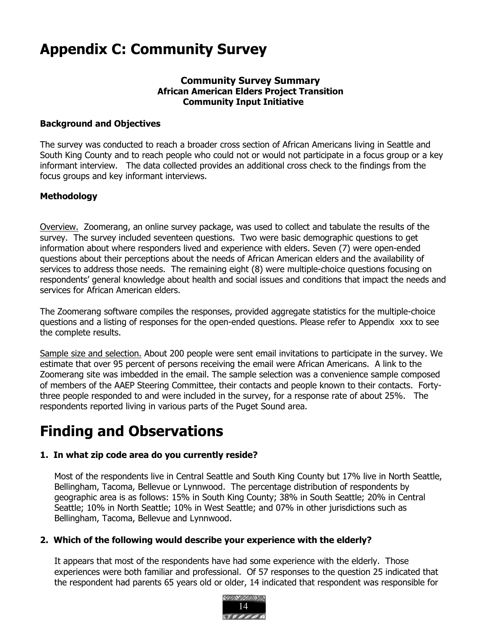# Appendix C: Community Survey

# Community Survey Summary African American Elders Project Transition Community Input Initiative

# Background and Objectives

The survey was conducted to reach a broader cross section of African Americans living in Seattle and South King County and to reach people who could not or would not participate in a focus group or a key informant interview. The data collected provides an additional cross check to the findings from the focus groups and key informant interviews.

# Methodology

Overview. Zoomerang, an online survey package, was used to collect and tabulate the results of the survey. The survey included seventeen questions. Two were basic demographic questions to get information about where responders lived and experience with elders. Seven (7) were open-ended questions about their perceptions about the needs of African American elders and the availability of services to address those needs. The remaining eight (8) were multiple-choice questions focusing on respondents' general knowledge about health and social issues and conditions that impact the needs and services for African American elders.

The Zoomerang software compiles the responses, provided aggregate statistics for the multiple-choice questions and a listing of responses for the open-ended questions. Please refer to Appendix xxx to see the complete results.

Sample size and selection. About 200 people were sent email invitations to participate in the survey. We estimate that over 95 percent of persons receiving the email were African Americans. A link to the Zoomerang site was imbedded in the email. The sample selection was a convenience sample composed of members of the AAEP Steering Committee, their contacts and people known to their contacts. Fortythree people responded to and were included in the survey, for a response rate of about 25%. The respondents reported living in various parts of the Puget Sound area.

# Finding and Observations

# 1. In what zip code area do you currently reside?

Most of the respondents live in Central Seattle and South King County but 17% live in North Seattle, Bellingham, Tacoma, Bellevue or Lynnwood. The percentage distribution of respondents by geographic area is as follows: 15% in South King County; 38% in South Seattle; 20% in Central Seattle; 10% in North Seattle; 10% in West Seattle; and 07% in other jurisdictions such as Bellingham, Tacoma, Bellevue and Lynnwood.

# 2. Which of the following would describe your experience with the elderly?

It appears that most of the respondents have had some experience with the elderly. Those experiences were both familiar and professional. Of 57 responses to the question 25 indicated that the respondent had parents 65 years old or older, 14 indicated that respondent was responsible for

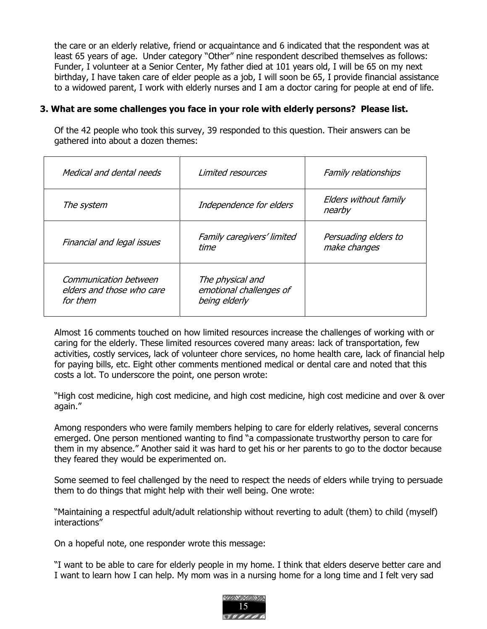the care or an elderly relative, friend or acquaintance and 6 indicated that the respondent was at least 65 years of age. Under category "Other" nine respondent described themselves as follows: Funder, I volunteer at a Senior Center, My father died at 101 years old, I will be 65 on my next birthday, I have taken care of elder people as a job, I will soon be 65, I provide financial assistance to a widowed parent, I work with elderly nurses and I am a doctor caring for people at end of life.

## 3. What are some challenges you face in your role with elderly persons? Please list.

Of the 42 people who took this survey, 39 responded to this question. Their answers can be gathered into about a dozen themes:

| Medical and dental needs                                       | Limited resources                                            | Family relationships                 |
|----------------------------------------------------------------|--------------------------------------------------------------|--------------------------------------|
| The system                                                     | Independence for elders                                      | Elders without family<br>nearby      |
| Financial and legal issues                                     | Family caregivers' limited<br>time                           | Persuading elders to<br>make changes |
| Communication between<br>elders and those who care<br>for them | The physical and<br>emotional challenges of<br>being elderly |                                      |

Almost 16 comments touched on how limited resources increase the challenges of working with or caring for the elderly. These limited resources covered many areas: lack of transportation, few activities, costly services, lack of volunteer chore services, no home health care, lack of financial help for paying bills, etc. Eight other comments mentioned medical or dental care and noted that this costs a lot. To underscore the point, one person wrote:

"High cost medicine, high cost medicine, and high cost medicine, high cost medicine and over & over again."

Among responders who were family members helping to care for elderly relatives, several concerns emerged. One person mentioned wanting to find "a compassionate trustworthy person to care for them in my absence." Another said it was hard to get his or her parents to go to the doctor because they feared they would be experimented on.

Some seemed to feel challenged by the need to respect the needs of elders while trying to persuade them to do things that might help with their well being. One wrote:

"Maintaining a respectful adult/adult relationship without reverting to adult (them) to child (myself) interactions"

On a hopeful note, one responder wrote this message:

"I want to be able to care for elderly people in my home. I think that elders deserve better care and I want to learn how I can help. My mom was in a nursing home for a long time and I felt very sad

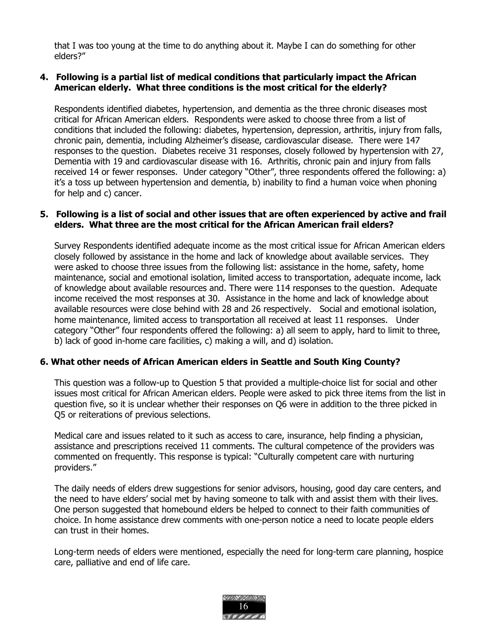that I was too young at the time to do anything about it. Maybe I can do something for other elders?"

### 4. Following is a partial list of medical conditions that particularly impact the African American elderly. What three conditions is the most critical for the elderly?

Respondents identified diabetes, hypertension, and dementia as the three chronic diseases most critical for African American elders. Respondents were asked to choose three from a list of conditions that included the following: diabetes, hypertension, depression, arthritis, injury from falls, chronic pain, dementia, including Alzheimer's disease, cardiovascular disease. There were 147 responses to the question. Diabetes receive 31 responses, closely followed by hypertension with 27, Dementia with 19 and cardiovascular disease with 16. Arthritis, chronic pain and injury from falls received 14 or fewer responses. Under category "Other", three respondents offered the following: a) it's a toss up between hypertension and dementia, b) inability to find a human voice when phoning for help and c) cancer.

### 5. Following is a list of social and other issues that are often experienced by active and frail elders. What three are the most critical for the African American frail elders?

Survey Respondents identified adequate income as the most critical issue for African American elders closely followed by assistance in the home and lack of knowledge about available services. They were asked to choose three issues from the following list: assistance in the home, safety, home maintenance, social and emotional isolation, limited access to transportation, adequate income, lack of knowledge about available resources and. There were 114 responses to the question. Adequate income received the most responses at 30. Assistance in the home and lack of knowledge about available resources were close behind with 28 and 26 respectively. Social and emotional isolation, home maintenance, limited access to transportation all received at least 11 responses. Under category "Other" four respondents offered the following: a) all seem to apply, hard to limit to three, b) lack of good in-home care facilities, c) making a will, and d) isolation.

### 6. What other needs of African American elders in Seattle and South King County?

This question was a follow-up to Question 5 that provided a multiple-choice list for social and other issues most critical for African American elders. People were asked to pick three items from the list in question five, so it is unclear whether their responses on Q6 were in addition to the three picked in Q5 or reiterations of previous selections.

Medical care and issues related to it such as access to care, insurance, help finding a physician, assistance and prescriptions received 11 comments. The cultural competence of the providers was commented on frequently. This response is typical: "Culturally competent care with nurturing providers."

The daily needs of elders drew suggestions for senior advisors, housing, good day care centers, and the need to have elders' social met by having someone to talk with and assist them with their lives. One person suggested that homebound elders be helped to connect to their faith communities of choice. In home assistance drew comments with one-person notice a need to locate people elders can trust in their homes.

Long-term needs of elders were mentioned, especially the need for long-term care planning, hospice care, palliative and end of life care.

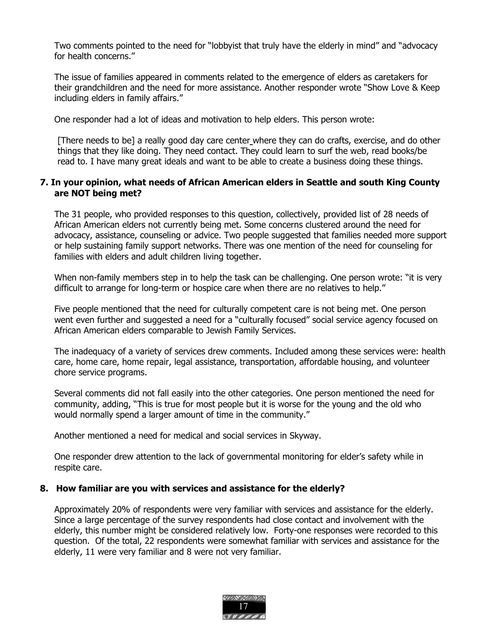Two comments pointed to the need for "lobbyist that truly have the elderly in mind" and "advocacy for health concerns."

The issue of families appeared in comments related to the emergence of elders as caretakers for their grandchildren and the need for more assistance. Another responder wrote "Show Love & Keep including elders in family affairs."

One responder had a lot of ideas and motivation to help elders. This person wrote:

[There needs to be] a really good day care center where they can do crafts, exercise, and do other things that they like doing. They need contact. They could learn to surf the web, read books/be read to. I have many great ideals and want to be able to create a business doing these things.

### 7. In your opinion, what needs of African American elders in Seattle and south King County are NOT being met?

The 31 people, who provided responses to this question, collectively, provided list of 28 needs of African American elders not currently being met. Some concerns clustered around the need for advocacy, assistance, counseling or advice. Two people suggested that families needed more support or help sustaining family support networks. There was one mention of the need for counseling for families with elders and adult children living together.

When non-family members step in to help the task can be challenging. One person wrote: "it is very difficult to arrange for long-term or hospice care when there are no relatives to help."

Five people mentioned that the need for culturally competent care is not being met. One person went even further and suggested a need for a "culturally focused" social service agency focused on African American elders comparable to Jewish Family Services.

The inadequacy of a variety of services drew comments. Included among these services were: health care, home care, home repair, legal assistance, transportation, affordable housing, and volunteer chore service programs.

Several comments did not fall easily into the other categories. One person mentioned the need for community, adding, "This is true for most people but it is worse for the young and the old who would normally spend a larger amount of time in the community."

Another mentioned a need for medical and social services in Skyway.

One responder drew attention to the lack of governmental monitoring for elder's safety while in respite care.

### 8. How familiar are you with services and assistance for the elderly?

Approximately 20% of respondents were very familiar with services and assistance for the elderly. Since a large percentage of the survey respondents had close contact and involvement with the elderly, this number might be considered relatively low. Forty-one responses were recorded to this question. Of the total, 22 respondents were somewhat familiar with services and assistance for the elderly, 11 were very familiar and 8 were not very familiar.

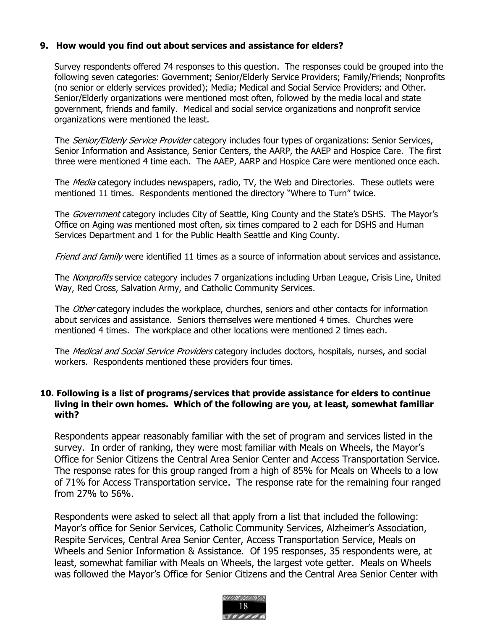# 9. How would you find out about services and assistance for elders?

Survey respondents offered 74 responses to this question. The responses could be grouped into the following seven categories: Government; Senior/Elderly Service Providers; Family/Friends; Nonprofits (no senior or elderly services provided); Media; Medical and Social Service Providers; and Other. Senior/Elderly organizations were mentioned most often, followed by the media local and state government, friends and family. Medical and social service organizations and nonprofit service organizations were mentioned the least.

The *Senior/Elderly Service Provider* category includes four types of organizations: Senior Services, Senior Information and Assistance, Senior Centers, the AARP, the AAEP and Hospice Care. The first three were mentioned 4 time each. The AAEP, AARP and Hospice Care were mentioned once each.

The *Media* category includes newspapers, radio, TV, the Web and Directories. These outlets were mentioned 11 times. Respondents mentioned the directory "Where to Turn" twice.

The *Government* category includes City of Seattle, King County and the State's DSHS. The Mayor's Office on Aging was mentioned most often, six times compared to 2 each for DSHS and Human Services Department and 1 for the Public Health Seattle and King County.

Friend and family were identified 11 times as a source of information about services and assistance.

The *Nonprofits* service category includes 7 organizations including Urban League, Crisis Line, United Way, Red Cross, Salvation Army, and Catholic Community Services.

The *Other* category includes the workplace, churches, seniors and other contacts for information about services and assistance. Seniors themselves were mentioned 4 times. Churches were mentioned 4 times. The workplace and other locations were mentioned 2 times each.

The *Medical and Social Service Providers* category includes doctors, hospitals, nurses, and social workers. Respondents mentioned these providers four times.

## 10. Following is a list of programs/services that provide assistance for elders to continue living in their own homes. Which of the following are you, at least, somewhat familiar with?

Respondents appear reasonably familiar with the set of program and services listed in the survey. In order of ranking, they were most familiar with Meals on Wheels, the Mayor's Office for Senior Citizens the Central Area Senior Center and Access Transportation Service. The response rates for this group ranged from a high of 85% for Meals on Wheels to a low of 71% for Access Transportation service. The response rate for the remaining four ranged from 27% to 56%.

Respondents were asked to select all that apply from a list that included the following: Mayor's office for Senior Services, Catholic Community Services, Alzheimer's Association, Respite Services, Central Area Senior Center, Access Transportation Service, Meals on Wheels and Senior Information & Assistance. Of 195 responses, 35 respondents were, at least, somewhat familiar with Meals on Wheels, the largest vote getter. Meals on Wheels was followed the Mayor's Office for Senior Citizens and the Central Area Senior Center with

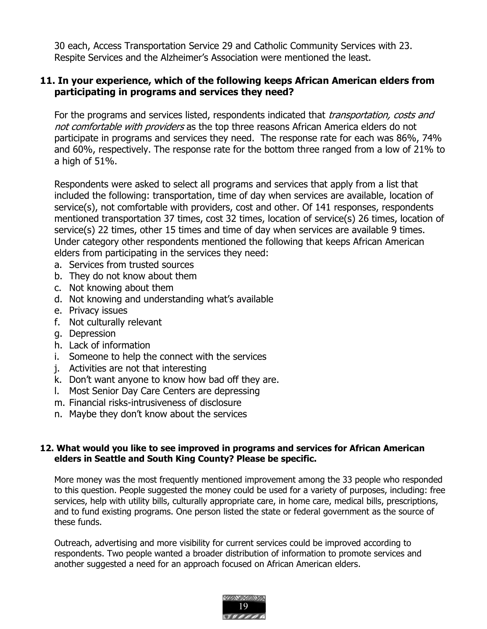30 each, Access Transportation Service 29 and Catholic Community Services with 23. Respite Services and the Alzheimer's Association were mentioned the least.

# 11. In your experience, which of the following keeps African American elders from participating in programs and services they need?

For the programs and services listed, respondents indicated that *transportation, costs and* not comfortable with providers as the top three reasons African America elders do not participate in programs and services they need. The response rate for each was 86%, 74% and 60%, respectively. The response rate for the bottom three ranged from a low of 21% to a high of 51%.

Respondents were asked to select all programs and services that apply from a list that included the following: transportation, time of day when services are available, location of service(s), not comfortable with providers, cost and other. Of 141 responses, respondents mentioned transportation 37 times, cost 32 times, location of service(s) 26 times, location of service(s) 22 times, other 15 times and time of day when services are available 9 times. Under category other respondents mentioned the following that keeps African American elders from participating in the services they need:

- a. Services from trusted sources
- b. They do not know about them
- c. Not knowing about them
- d. Not knowing and understanding what's available
- e. Privacy issues
- f. Not culturally relevant
- g. Depression
- h. Lack of information
- i. Someone to help the connect with the services
- j. Activities are not that interesting
- k. Don't want anyone to know how bad off they are.
- l. Most Senior Day Care Centers are depressing
- m. Financial risks-intrusiveness of disclosure
- n. Maybe they don't know about the services

## 12. What would you like to see improved in programs and services for African American elders in Seattle and South King County? Please be specific.

More money was the most frequently mentioned improvement among the 33 people who responded to this question. People suggested the money could be used for a variety of purposes, including: free services, help with utility bills, culturally appropriate care, in home care, medical bills, prescriptions, and to fund existing programs. One person listed the state or federal government as the source of these funds.

Outreach, advertising and more visibility for current services could be improved according to respondents. Two people wanted a broader distribution of information to promote services and another suggested a need for an approach focused on African American elders.

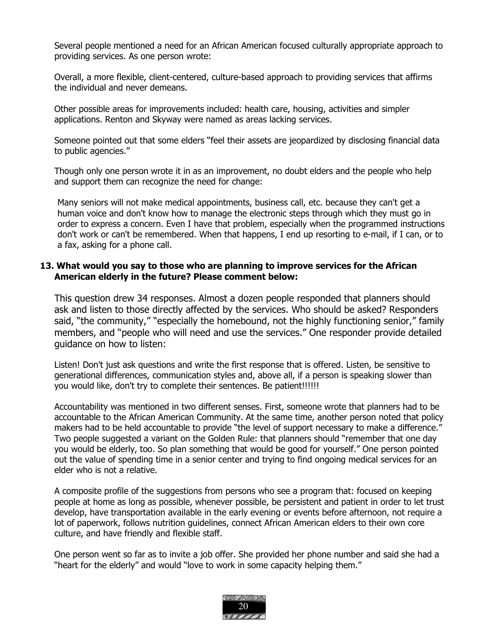Several people mentioned a need for an African American focused culturally appropriate approach to providing services. As one person wrote:

Overall, a more flexible, client-centered, culture-based approach to providing services that affirms the individual and never demeans.

Other possible areas for improvements included: health care, housing, activities and simpler applications. Renton and Skyway were named as areas lacking services.

Someone pointed out that some elders "feel their assets are jeopardized by disclosing financial data to public agencies."

Though only one person wrote it in as an improvement, no doubt elders and the people who help and support them can recognize the need for change:

Many seniors will not make medical appointments, business call, etc. because they can't get a human voice and don't know how to manage the electronic steps through which they must go in order to express a concern. Even I have that problem, especially when the programmed instructions don't work or can't be remembered. When that happens, I end up resorting to e-mail, if I can, or to a fax, asking for a phone call.

## 13. What would you say to those who are planning to improve services for the African American elderly in the future? Please comment below:

This question drew 34 responses. Almost a dozen people responded that planners should ask and listen to those directly affected by the services. Who should be asked? Responders said, "the community," "especially the homebound, not the highly functioning senior," family members, and "people who will need and use the services." One responder provide detailed guidance on how to listen:

Listen! Don't just ask questions and write the first response that is offered. Listen, be sensitive to generational differences, communication styles and, above all, if a person is speaking slower than you would like, don't try to complete their sentences. Be patient!!!!!!!

Accountability was mentioned in two different senses. First, someone wrote that planners had to be accountable to the African American Community. At the same time, another person noted that policy makers had to be held accountable to provide "the level of support necessary to make a difference." Two people suggested a variant on the Golden Rule: that planners should "remember that one day you would be elderly, too. So plan something that would be good for yourself." One person pointed out the value of spending time in a senior center and trying to find ongoing medical services for an elder who is not a relative.

A composite profile of the suggestions from persons who see a program that: focused on keeping people at home as long as possible, whenever possible, be persistent and patient in order to let trust develop, have transportation available in the early evening or events before afternoon, not require a lot of paperwork, follows nutrition guidelines, connect African American elders to their own core culture, and have friendly and flexible staff.

One person went so far as to invite a job offer. She provided her phone number and said she had a "heart for the elderly" and would "love to work in some capacity helping them."

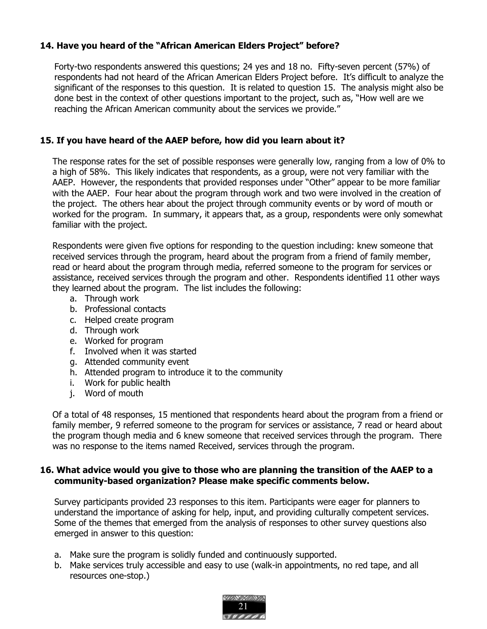# 14. Have you heard of the "African American Elders Project" before?

Forty-two respondents answered this questions; 24 yes and 18 no. Fifty-seven percent (57%) of respondents had not heard of the African American Elders Project before. It's difficult to analyze the significant of the responses to this question. It is related to question 15. The analysis might also be done best in the context of other questions important to the project, such as, "How well are we reaching the African American community about the services we provide."

# 15. If you have heard of the AAEP before, how did you learn about it?

The response rates for the set of possible responses were generally low, ranging from a low of 0% to a high of 58%. This likely indicates that respondents, as a group, were not very familiar with the AAEP. However, the respondents that provided responses under "Other" appear to be more familiar with the AAEP. Four hear about the program through work and two were involved in the creation of the project. The others hear about the project through community events or by word of mouth or worked for the program. In summary, it appears that, as a group, respondents were only somewhat familiar with the project.

Respondents were given five options for responding to the question including: knew someone that received services through the program, heard about the program from a friend of family member, read or heard about the program through media, referred someone to the program for services or assistance, received services through the program and other. Respondents identified 11 other ways they learned about the program. The list includes the following:

- a. Through work
- b. Professional contacts
- c. Helped create program
- d. Through work
- e. Worked for program
- f. Involved when it was started
- g. Attended community event
- h. Attended program to introduce it to the community
- i. Work for public health
- j. Word of mouth

Of a total of 48 responses, 15 mentioned that respondents heard about the program from a friend or family member, 9 referred someone to the program for services or assistance, 7 read or heard about the program though media and 6 knew someone that received services through the program. There was no response to the items named Received, services through the program.

### 16. What advice would you give to those who are planning the transition of the AAEP to a community-based organization? Please make specific comments below.

Survey participants provided 23 responses to this item. Participants were eager for planners to understand the importance of asking for help, input, and providing culturally competent services. Some of the themes that emerged from the analysis of responses to other survey questions also emerged in answer to this question:

- a. Make sure the program is solidly funded and continuously supported.
- b. Make services truly accessible and easy to use (walk-in appointments, no red tape, and all resources one-stop.)

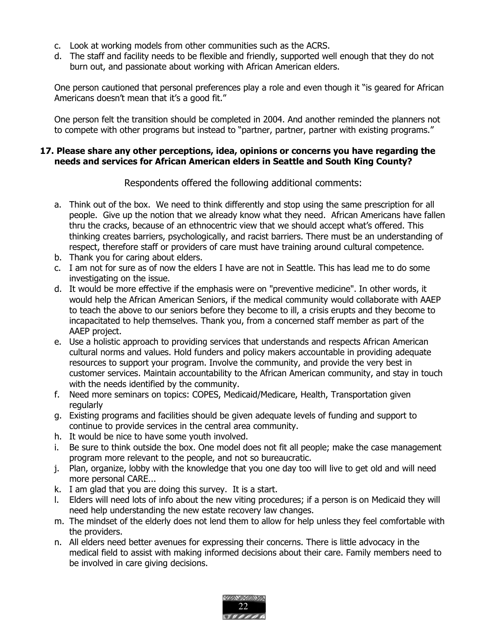- c. Look at working models from other communities such as the ACRS.
- d. The staff and facility needs to be flexible and friendly, supported well enough that they do not burn out, and passionate about working with African American elders.

One person cautioned that personal preferences play a role and even though it "is geared for African Americans doesn't mean that it's a good fit."

One person felt the transition should be completed in 2004. And another reminded the planners not to compete with other programs but instead to "partner, partner, partner with existing programs."

### 17. Please share any other perceptions, idea, opinions or concerns you have regarding the needs and services for African American elders in Seattle and South King County?

Respondents offered the following additional comments:

- a. Think out of the box. We need to think differently and stop using the same prescription for all people. Give up the notion that we already know what they need. African Americans have fallen thru the cracks, because of an ethnocentric view that we should accept what's offered. This thinking creates barriers, psychologically, and racist barriers. There must be an understanding of respect, therefore staff or providers of care must have training around cultural competence.
- b. Thank you for caring about elders.
- c. I am not for sure as of now the elders I have are not in Seattle. This has lead me to do some investigating on the issue.
- d. It would be more effective if the emphasis were on "preventive medicine". In other words, it would help the African American Seniors, if the medical community would collaborate with AAEP to teach the above to our seniors before they become to ill, a crisis erupts and they become to incapacitated to help themselves. Thank you, from a concerned staff member as part of the AAEP project.
- e. Use a holistic approach to providing services that understands and respects African American cultural norms and values. Hold funders and policy makers accountable in providing adequate resources to support your program. Involve the community, and provide the very best in customer services. Maintain accountability to the African American community, and stay in touch with the needs identified by the community.
- f. Need more seminars on topics: COPES, Medicaid/Medicare, Health, Transportation given regularly
- g. Existing programs and facilities should be given adequate levels of funding and support to continue to provide services in the central area community.
- h. It would be nice to have some youth involved.
- i. Be sure to think outside the box. One model does not fit all people; make the case management program more relevant to the people, and not so bureaucratic.
- j. Plan, organize, lobby with the knowledge that you one day too will live to get old and will need more personal CARE...
- k. I am glad that you are doing this survey. It is a start.
- l. Elders will need lots of info about the new viting procedures; if a person is on Medicaid they will need help understanding the new estate recovery law changes.
- m. The mindset of the elderly does not lend them to allow for help unless they feel comfortable with the providers.
- n. All elders need better avenues for expressing their concerns. There is little advocacy in the medical field to assist with making informed decisions about their care. Family members need to be involved in care giving decisions.

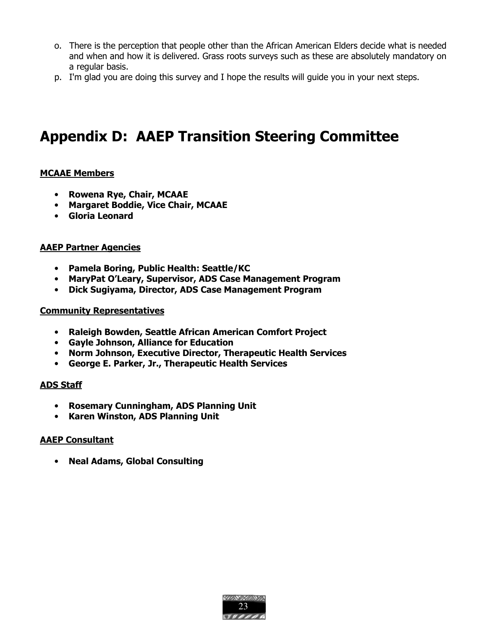- o. There is the perception that people other than the African American Elders decide what is needed and when and how it is delivered. Grass roots surveys such as these are absolutely mandatory on a regular basis.
- p. I'm glad you are doing this survey and I hope the results will guide you in your next steps.

# Appendix D: AAEP Transition Steering Committee

### MCAAE Members

- Rowena Rye, Chair, MCAAE
- Margaret Boddie, Vice Chair, MCAAE
- Gloria Leonard

#### AAEP Partner Agencies

- Pamela Boring, Public Health: Seattle/KC
- MaryPat O'Leary, Supervisor, ADS Case Management Program
- Dick Sugiyama, Director, ADS Case Management Program

#### Community Representatives

- Raleigh Bowden, Seattle African American Comfort Project
- Gayle Johnson, Alliance for Education
- Norm Johnson, Executive Director, Therapeutic Health Services
- George E. Parker, Jr., Therapeutic Health Services

### ADS Staff

- Rosemary Cunningham, ADS Planning Unit
- Karen Winston, ADS Planning Unit

### AAEP Consultant

• Neal Adams, Global Consulting